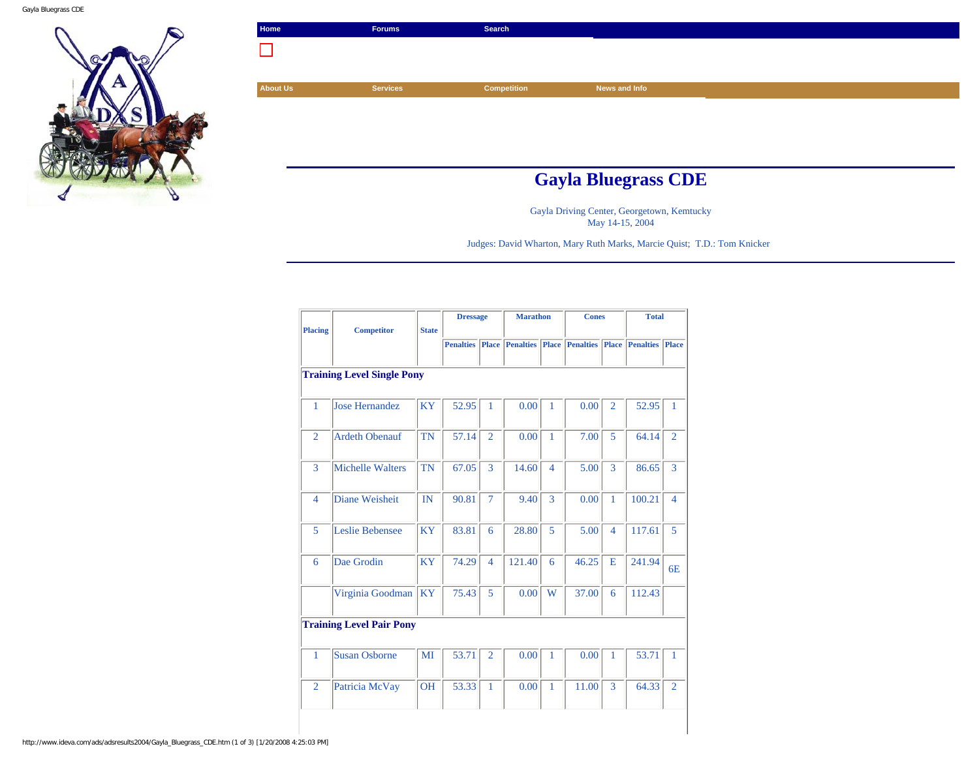

| Home            | <b>Forums</b>              | Search             |               |  |  |  |  |
|-----------------|----------------------------|--------------------|---------------|--|--|--|--|
|                 |                            |                    |               |  |  |  |  |
|                 |                            |                    |               |  |  |  |  |
| <b>About Us</b> | <b>Services</b>            | <b>Competition</b> | News and Info |  |  |  |  |
|                 |                            |                    |               |  |  |  |  |
|                 |                            |                    |               |  |  |  |  |
|                 |                            |                    |               |  |  |  |  |
|                 |                            |                    |               |  |  |  |  |
|                 | <b>Gayla Bluegrass CDE</b> |                    |               |  |  |  |  |

Gayla Driving Center, Georgetown, Kemtucky May 14-15, 2004

Judges: David Wharton, Mary Ruth Marks, Marcie Quist; T.D.: Tom Knicker

| <b>Placing</b> | <b>Competitor</b>                 |              | <b>Dressage</b>  |                | <b>Marathon</b>                        |                | <b>Cones</b> |                | <b>Total</b>     |                |
|----------------|-----------------------------------|--------------|------------------|----------------|----------------------------------------|----------------|--------------|----------------|------------------|----------------|
|                |                                   | <b>State</b> | <b>Penalties</b> | <b>Place</b>   | <b>Penalties Place Penalties Place</b> |                |              |                | <b>Penalties</b> | Place          |
|                |                                   |              |                  |                |                                        |                |              |                |                  |                |
|                | <b>Training Level Single Pony</b> |              |                  |                |                                        |                |              |                |                  |                |
| 1              | Jose Hernandez                    | <b>KY</b>    | 52.95            | $\mathbf{1}$   | 0.00                                   | 1              | 0.00         | $\overline{2}$ | 52.95            | $\mathbf{1}$   |
| $\overline{2}$ | <b>Ardeth Obenauf</b>             | <b>TN</b>    | 57.14            | $\overline{2}$ | 0.00                                   | 1              | 7.00         | 5              | 64.14            | $\overline{2}$ |
| 3              | Michelle Walters                  | <b>TN</b>    | 67.05            | 3              | 14.60                                  | $\overline{4}$ | 5.00         | 3              | 86.65            | 3              |
| $\overline{4}$ | Diane Weisheit                    | IN           | 90.81            | $\overline{7}$ | 9.40                                   | 3              | 0.00         | 1              | 100.21           | $\overline{4}$ |
| 5              | Leslie Bebensee                   | <b>KY</b>    | 83.81            | 6              | 28.80                                  | 5              | 5.00         | $\overline{4}$ | 117.61           | 5              |
| 6              | Dae Grodin                        | <b>KY</b>    | 74.29            | $\overline{4}$ | 121.40                                 | 6              | 46.25        | E              | 241.94           | 6E             |
|                | Virginia Goodman                  | <b>KY</b>    | 75.43            | 5              | 0.00                                   | W              | 37.00        | 6              | 112.43           |                |
|                | <b>Training Level Pair Pony</b>   |              |                  |                |                                        |                |              |                |                  |                |
| $\mathbf{1}$   | <b>Susan Osborne</b>              | MI           | 53.71            | $\overline{2}$ | 0.00                                   | $\mathbf{1}$   | 0.00         | $\mathbf{1}$   | 53.71            | $\mathbf{1}$   |
| $\overline{2}$ | Patricia McVay                    | <b>OH</b>    | 53.33            | $\mathbf{1}$   | 0.00                                   | $\mathbf{1}$   | 11.00        | 3              | 64.33            | $\overline{2}$ |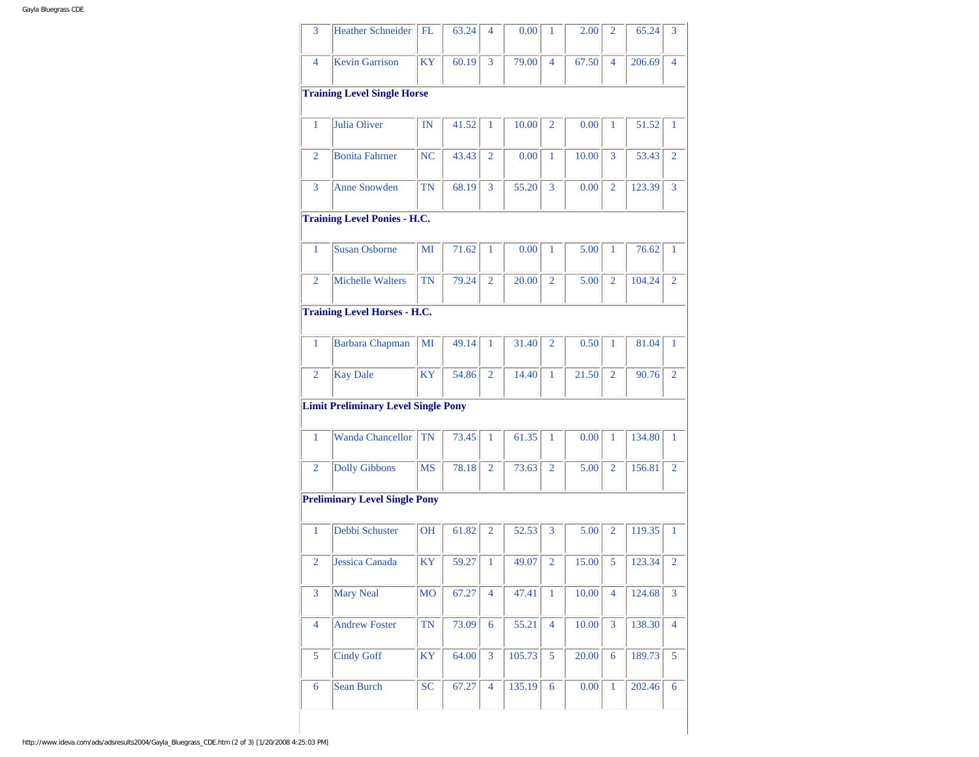| 3              | <b>Heather Schneider</b>                   | FL.       | 63.24 | 4              | 0.00   | 1              | 2.00  | $\overline{2}$ | 65.24  | 3              |
|----------------|--------------------------------------------|-----------|-------|----------------|--------|----------------|-------|----------------|--------|----------------|
| 4              | <b>Kevin Garrison</b>                      | <b>KY</b> | 60.19 | 3              | 79.00  | $\overline{4}$ | 67.50 | $\overline{4}$ | 206.69 | 4              |
|                | <b>Training Level Single Horse</b>         |           |       |                |        |                |       |                |        |                |
| 1              | Julia Oliver                               | IN        | 41.52 | 1              | 10.00  | $\overline{2}$ | 0.00  | 1              | 51.52  | 1              |
| 2              | <b>Bonita Fahrner</b>                      | NC        | 43.43 | 2              | 0.00   | 1              | 10.00 | 3              | 53.43  | 2              |
| 3              | <b>Anne Snowden</b>                        | <b>TN</b> | 68.19 | 3              | 55.20  | 3              | 0.00  | $\overline{2}$ | 123.39 | 3              |
|                | <b>Training Level Ponies - H.C.</b>        |           |       |                |        |                |       |                |        |                |
| 1              | <b>Susan Osborne</b>                       | MI        | 71.62 | 1              | 0.00   | 1              | 5.00  | 1              | 76.62  | 1              |
| 2              | Michelle Walters                           | <b>TN</b> | 79.24 | $\overline{2}$ | 20.00  | $\overline{2}$ | 5.00  | $\overline{2}$ | 104.24 | 2              |
|                | <b>Training Level Horses - H.C.</b>        |           |       |                |        |                |       |                |        |                |
| $\mathbf{1}$   | <b>Barbara</b> Chapman                     | MI        | 49.14 | 1              | 31.40  | $\overline{2}$ | 0.50  | 1              | 81.04  | 1              |
| $\overline{2}$ | <b>Kay Dale</b>                            | KY        | 54.86 | $\overline{2}$ | 14.40  | 1              | 21.50 | $\overline{2}$ | 90.76  | $\overline{2}$ |
|                | <b>Limit Preliminary Level Single Pony</b> |           |       |                |        |                |       |                |        |                |
| 1              | <b>Wanda Chancellor</b>                    | <b>TN</b> | 73.45 | 1              | 61.35  | 1              | 0.00  | 1              | 134.80 | 1              |
| 2              | <b>Dolly Gibbons</b>                       | <b>MS</b> | 78.18 | 2              | 73.63  | $\overline{2}$ | 5.00  | $\overline{2}$ | 156.81 | 2              |
|                |                                            |           |       |                |        |                |       |                |        |                |
|                | <b>Preliminary Level Single Pony</b>       |           |       |                |        |                |       |                |        |                |
| 1              | Debbi Schuster                             | <b>OH</b> | 61.82 | 2              | 52.53  | 3              | 5.00  | $\overline{2}$ | 119.35 | 1              |
| $\overline{2}$ | Jessica Canada                             | <b>KY</b> | 59.27 | 1              | 49.07  | $\overline{2}$ | 15.00 | 5              | 123.34 | $\overline{2}$ |
| $\overline{3}$ | <b>Mary Neal</b>                           | <b>MO</b> | 67.27 | $\overline{4}$ | 47.41  | 1              | 10.00 | $\overline{4}$ | 124.68 | 3              |
| $\overline{4}$ | <b>Andrew Foster</b>                       | TN        | 73.09 | 6              | 55.21  | $\overline{4}$ | 10.00 | $\overline{3}$ | 138.30 | $\overline{4}$ |
| 5              | <b>Cindy Goff</b>                          | <b>KY</b> | 64.00 | $\overline{3}$ | 105.73 | 5              | 20.00 | $\overline{6}$ | 189.73 | 5              |